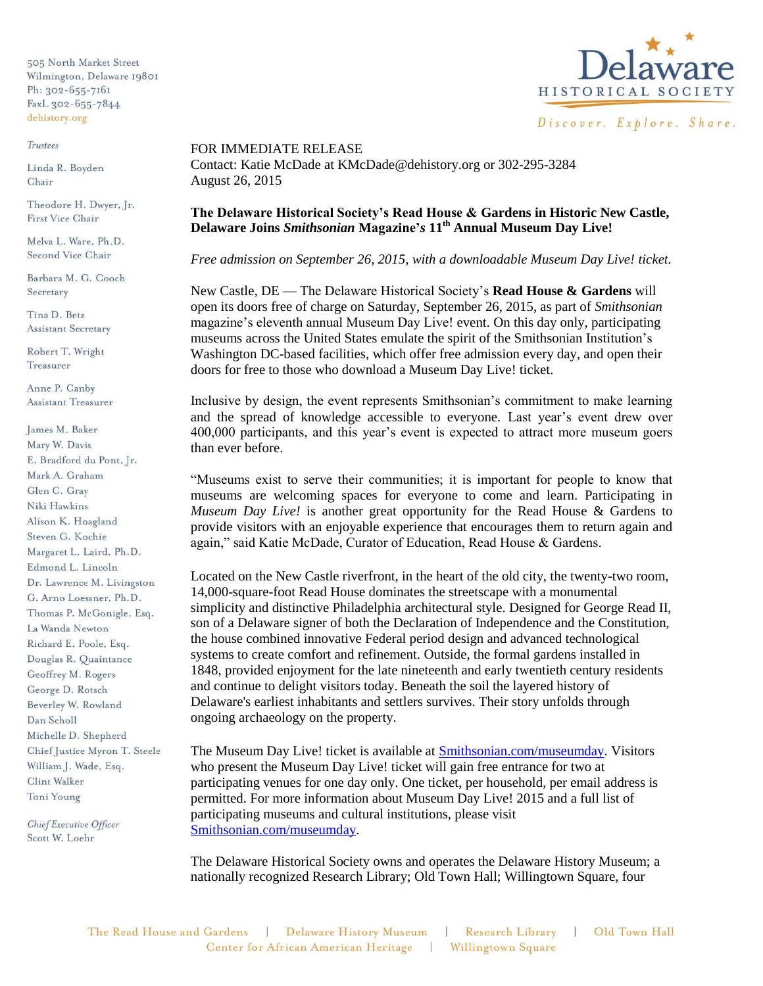505 North Market Street Wilmington, Delaware 19801 Ph: 302-655-7161 FaxL 302-655-7844 dehistory.org

## Trustees

Linda R. Boyden Chair

Theodore H. Dwyer, Jr. First Vice Chair

Melva L. Ware, Ph.D. Second Vice Chair

Barbara M. G. Cooch Secretary

Tina D. Betz **Assistant Secretary** 

Robert T. Wright Treasurer

Anne P. Canby **Assistant Treasurer** 

James M. Baker Mary W. Davis E. Bradford du Pont, Jr. Mark A. Graham Glen C. Grav Niki Hawkins Alison K. Hoagland Steven G. Kochie Margaret L. Laird, Ph.D. Edmond L. Lincoln Dr. Lawrence M. Livingston G. Arno Loessner, Ph.D. Thomas P. McGonigle, Esq. La Wanda Newton Richard E. Poole, Esq. Douglas R. Quaintance Geoffrey M. Rogers George D. Rotsch Beverley W. Rowland Dan Scholl Michelle D. Shepherd Chief Justice Myron T. Steele William J. Wade, Esq. Clint Walker Toni Young

Chief Executive Officer Scott W. Loehr



FOR IMMEDIATE RELEASE Contact: Katie McDade at KMcDade@dehistory.org or 302-295-3284 August 26, 2015

## **The Delaware Historical Society's Read House & Gardens in Historic New Castle, Delaware Joins** *Smithsonian* **Magazine'***s* **11th Annual Museum Day Live!**

*Free admission on September 26, 2015, with a downloadable Museum Day Live! ticket.*

New Castle, DE — The Delaware Historical Society's **Read House & Gardens** will open its doors free of charge on Saturday, September 26, 2015, as part of *Smithsonian*  magazine's eleventh annual Museum Day Live! event. On this day only, participating museums across the United States emulate the spirit of the Smithsonian Institution's Washington DC-based facilities, which offer free admission every day, and open their doors for free to those who download a Museum Day Live! ticket.

Inclusive by design, the event represents Smithsonian's commitment to make learning and the spread of knowledge accessible to everyone. Last year's event drew over 400,000 participants, and this year's event is expected to attract more museum goers than ever before.

"Museums exist to serve their communities; it is important for people to know that museums are welcoming spaces for everyone to come and learn. Participating in *Museum Day Live!* is another great opportunity for the Read House & Gardens to provide visitors with an enjoyable experience that encourages them to return again and again," said Katie McDade, Curator of Education, Read House & Gardens.

Located on the New Castle riverfront, in the heart of the old city, the twenty-two room, 14,000-square-foot Read House dominates the streetscape with a monumental simplicity and distinctive Philadelphia architectural style. Designed for George Read II, son of a Delaware signer of both the Declaration of Independence and the Constitution, the house combined innovative Federal period design and advanced technological systems to create comfort and refinement. Outside, the formal gardens installed in 1848, provided enjoyment for the late nineteenth and early twentieth century residents and continue to delight visitors today. Beneath the soil the layered history of Delaware's earliest inhabitants and settlers survives. Their story unfolds through ongoing archaeology on the property.

The Museum Day Live! ticket is available at **Smithsonian.com/museumday**. Visitors who present the Museum Day Live! ticket will gain free entrance for two at participating venues for one day only. One ticket, per household, per email address is permitted. For more information about Museum Day Live! 2015 and a full list of participating museums and cultural institutions, please visit [Smithsonian.com/museumday.](http://www.smithsonian.com/museumday)

The Delaware Historical Society owns and operates the Delaware History Museum; a nationally recognized Research Library; Old Town Hall; Willingtown Square, four